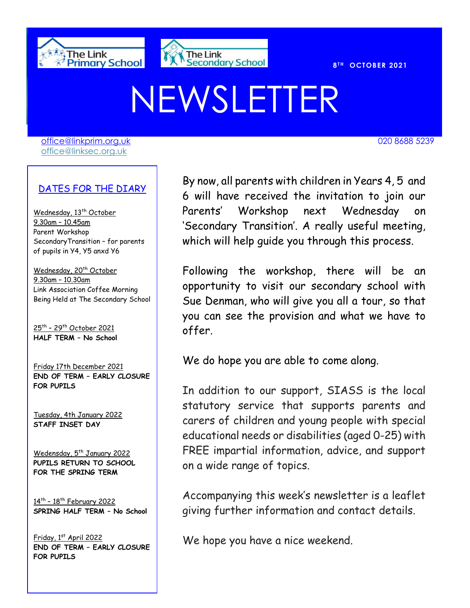



020 8688 7691

**T H OCTOBER 2021** 

## NEWSLETTER

[office@linkprim.org.uk](mailto:office@linkprim.org.uk) 020 8688 5239 office@linksec.org.uk

DATES FOR THE DIARY

Wednesday, 13<sup>th</sup> October 9.30am – 10.45am Parent Workshop SecondaryTransition – for parents of pupils in Y4, Y5 anxd Y6

Wednesday, 20<sup>th</sup> October 9.30am – 10.30am Link Association Coffee Morning Being Held at The Secondary School

<u>25th – 29th October 2021</u> **HALF TERM – No School**

Friday 17th December 2021 **END OF TERM – EARLY CLOSURE FOR PUPILS**

Tuesday, 4th January 2022 **STAFF INSET DAY**

Wedensday, 5<sup>th</sup> January 2022 **PUPILS RETURN TO SCHOOL FOR THE SPRING TERM**

14th – 18th February 2022 **SPRING HALF TERM – No School**

Friday, 1st April 2022 **END OF TERM – EARLY CLOSURE FOR PUPILS**

By now, all parents with children in Years 4, 5 and 6 will have received the invitation to join our Parents' Workshop next Wednesday on 'Secondary Transition'. A really useful meeting, which will help guide you through this process.

Following the workshop, there will be an opportunity to visit our secondary school with Sue Denman, who will give you all a tour, so that you can see the provision and what we have to offer.

We do hope you are able to come along.

In addition to our support, SIASS is the local statutory service that supports parents and carers of children and young people with special educational needs or disabilities (aged 0-25) with FREE impartial information, advice, and support on a wide range of topics.

Accompanying this week's newsletter is a leaflet giving further information and contact details.

We hope you have a nice weekend.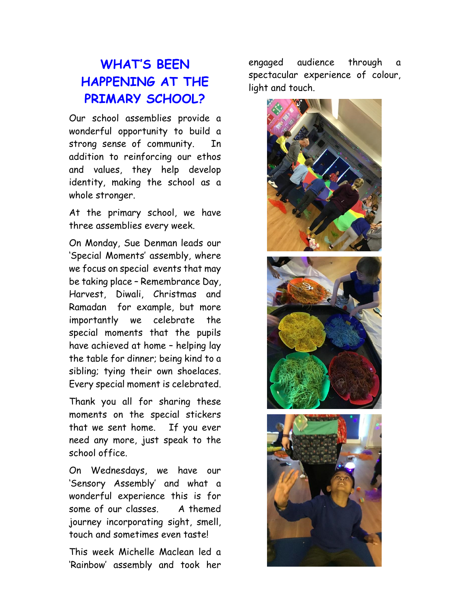## **WHAT'S BEEN HAPPENING AT THE PRIMARY SCHOOL?**

Our school assemblies provide a wonderful opportunity to build a strong sense of community. In addition to reinforcing our ethos and values, they help develop identity, making the school as a whole stronger.

At the primary school, we have three assemblies every week.

On Monday, Sue Denman leads our 'Special Moments' assembly, where we focus on special events that may be taking place – Remembrance Day, Harvest, Diwali, Christmas and Ramadan for example, but more importantly we celebrate the special moments that the pupils have achieved at home – helping lay the table for dinner; being kind to a sibling; tying their own shoelaces. Every special moment is celebrated.

Thank you all for sharing these moments on the special stickers that we sent home. If you ever need any more, just speak to the school office.

On Wednesdays, we have our 'Sensory Assembly' and what a wonderful experience this is for some of our classes. A themed journey incorporating sight, smell, touch and sometimes even taste!

This week Michelle Maclean led a 'Rainbow' assembly and took her

engaged audience through a spectacular experience of colour, light and touch.

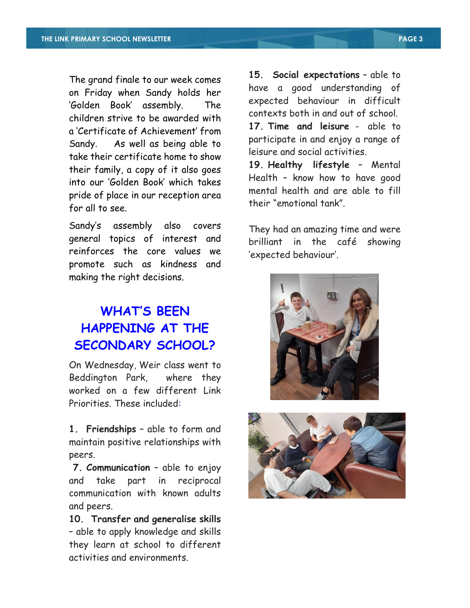The grand finale to our week comes on Friday when Sandy holds her 'Golden Book' assembly. The children strive to be awarded with a 'Certificate of Achievement' from Sandy. As well as being able to take their certificate home to show their family, a copy of it also goes into our 'Golden Book' which takes pride of place in our reception area for all to see.

Sandy's assembly also covers general topics of interest and reinforces the core values we promote such as kindness and making the right decisions.

## **WHAT'S BEEN HAPPENING AT THE SECONDARY SCHOOL?**

On Wednesday, Weir class went to Beddington Park, where they worked on a few different Link Priorities. These included:

**1. Friendships** – able to form and maintain positive relationships with peers.

**7. Communication** – able to enjoy and take part in reciprocal communication with known adults and peers.

**10. Transfer and generalise skills** – able to apply knowledge and skills they learn at school to different activities and environments.

**15. Social expectations** – able to have a good understanding of expected behaviour in difficult contexts both in and out of school. **17. Time and leisure** - able to participate in and enjoy a range of leisure and social activities.

**19. Healthy lifestyle** – Mental Health – know how to have good mental health and are able to fill their "emotional tank".

They had an amazing time and were brilliant in the café showing 'expected behaviour'.